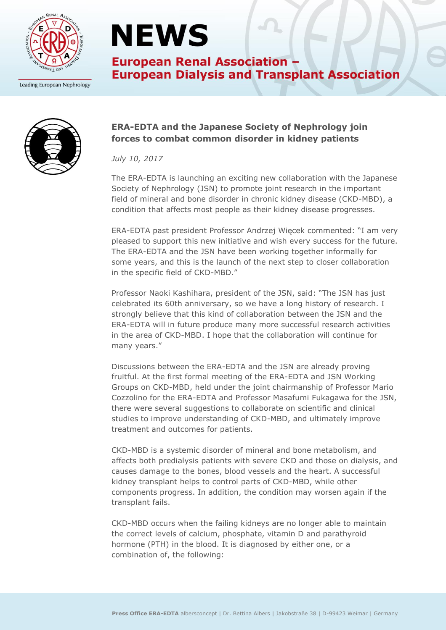

Leading European Nephrology

# **NEWS**

**European Renal Association -European Dialysis and Transplant Association** 



### **ERA-EDTA and the Japanese Society of Nephrology join forces to combat common disorder in kidney patients**

*July 10, 2017*

The ERA-EDTA is launching an exciting new collaboration with the Japanese Society of Nephrology (JSN) to promote joint research in the important field of mineral and bone disorder in chronic kidney disease (CKD-MBD), a condition that affects most people as their kidney disease progresses.

ERA-EDTA past president Professor Andrzej Więcek commented: "I am very pleased to support this new initiative and wish every success for the future. The ERA-EDTA and the JSN have been working together informally for some years, and this is the launch of the next step to closer collaboration in the specific field of CKD-MBD."

Professor Naoki Kashihara, president of the JSN, said: "The JSN has just celebrated its 60th anniversary, so we have a long history of research. I strongly believe that this kind of collaboration between the JSN and the ERA-EDTA will in future produce many more successful research activities in the area of CKD-MBD. I hope that the collaboration will continue for many years."

Discussions between the ERA-EDTA and the JSN are already proving fruitful. At the first formal meeting of the ERA-EDTA and JSN Working Groups on CKD-MBD, held under the joint chairmanship of Professor Mario Cozzolino for the ERA-EDTA and Professor Masafumi Fukagawa for the JSN, there were several suggestions to collaborate on scientific and clinical studies to improve understanding of CKD-MBD, and ultimately improve treatment and outcomes for patients.

CKD-MBD is a systemic disorder of mineral and bone metabolism, and affects both predialysis patients with severe CKD and those on dialysis, and causes damage to the bones, blood vessels and the heart. A successful kidney transplant helps to control parts of CKD-MBD, while other components progress. In addition, the condition may worsen again if the transplant fails.

CKD-MBD occurs when the failing kidneys are no longer able to maintain the correct levels of calcium, phosphate, vitamin D and parathyroid hormone (PTH) in the blood. It is diagnosed by either one, or a combination of, the following: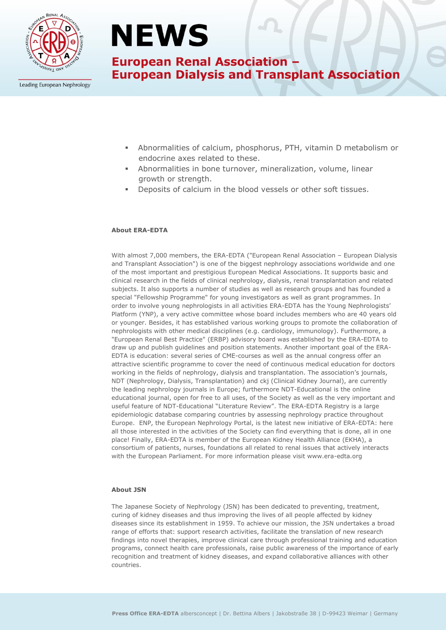

## **NEWS**

### **European Renal Association -European Dialysis and Transplant Association**

Leading European Nephrology

- Abnormalities of calcium, phosphorus, PTH, vitamin D metabolism or endocrine axes related to these.
- Abnormalities in bone turnover, mineralization, volume, linear growth or strength.
- Deposits of calcium in the blood vessels or other soft tissues.

#### **About ERA-EDTA**

With almost 7,000 members, the ERA-EDTA ("European Renal Association – European Dialysis and Transplant Association") is one of the biggest nephrology associations worldwide and one of the most important and prestigious European Medical Associations. It supports basic and clinical research in the fields of clinical nephrology, dialysis, renal transplantation and related subjects. It also supports a number of studies as well as research groups and has founded a special "Fellowship Programme" for young investigators as well as grant programmes. In order to involve young nephrologists in all activities ERA-EDTA has the Young Nephrologists' Platform (YNP), a very active committee whose board includes members who are 40 years old or younger. Besides, it has established various working groups to promote the collaboration of nephrologists with other medical disciplines (e.g. cardiology, immunology). Furthermore, a "European Renal Best Practice" (ERBP) advisory board was established by the ERA-EDTA to draw up and publish guidelines and position statements. Another important goal of the ERA-EDTA is education: several series of CME-courses as well as the annual congress offer an attractive scientific programme to cover the need of continuous medical education for doctors working in the fields of nephrology, dialysis and transplantation. The association's journals, NDT (Nephrology, Dialysis, Transplantation) and ckj (Clinical Kidney Journal), are currently the leading nephrology journals in Europe; furthermore NDT-Educational is the online educational journal, open for free to all uses, of the Society as well as the very important and useful feature of NDT-Educational "Literature Review". The ERA-EDTA Registry is a large epidemiologic database comparing countries by assessing nephrology practice throughout Europe. ENP, the European Nephrology Portal, is the latest new initiative of ERA-EDTA: here all those interested in the activities of the Society can find everything that is done, all in one place! Finally, ERA-EDTA is member of the European Kidney Health Alliance (EKHA), a consortium of patients, nurses, foundations all related to renal issues that actively interacts with the European Parliament. For more information please visit www.era-edta.org

#### **About JSN**

The Japanese Society of Nephrology (JSN) has been dedicated to preventing, treatment, curing of kidney diseases and thus improving the lives of all people affected by kidney diseases since its establishment in 1959. To achieve our mission, the JSN undertakes a broad range of efforts that: support research activities, facilitate the translation of new research findings into novel therapies, improve clinical care through professional training and education programs, connect health care professionals, raise public awareness of the importance of early recognition and treatment of kidney diseases, and expand collaborative alliances with other countries.